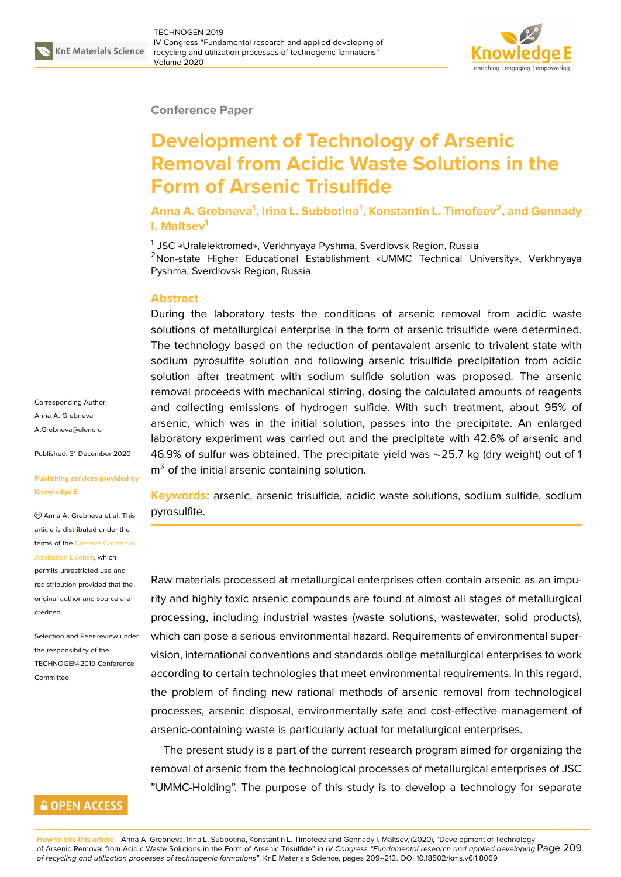

## **Conference Paper**

# **Development of Technology of Arsenic Removal from Acidic Waste Solutions in the Form of Arsenic Trisulfide**

**Anna A. Grebneva<sup>1</sup> , Irina L. Subbotina<sup>1</sup> , Konstantin L. Timofeev<sup>2</sup> , and Gennady I. Maltsev<sup>1</sup>**

<sup>1</sup> JSC «Uralelektromed», Verkhnyaya Pyshma, Sverdlovsk Region, Russia <sup>2</sup>Non-state Higher Educational Establishment «UMMC Technical University», Verkhnyaya Pyshma, Sverdlovsk Region, Russia

### **Abstract**

During the laboratory tests the conditions of arsenic removal from acidic waste solutions of metallurgical enterprise in the form of arsenic trisulfide were determined. The technology based on the reduction of pentavalent arsenic to trivalent state with sodium pyrosulfite solution and following arsenic trisulfide precipitation from acidic solution after treatment with sodium sulfide solution was proposed. The arsenic removal proceeds with mechanical stirring, dosing the calculated amounts of reagents and collecting emissions of hydrogen sulfide. With such treatment, about 95% of arsenic, which was in the initial solution, passes into the precipitate. An enlarged laboratory experiment was carried out and the precipitate with 42.6% of arsenic and 46.9% of sulfur was obtained. The precipitate yield was ∼25.7 kg (dry weight) out of 1  $m<sup>3</sup>$  of the initial arsenic containing solution.

**Keywords:** arsenic, arsenic trisulfide, acidic waste solutions, sodium sulfide, sodium pyrosulfite.

Raw materials processed at metallurgical enterprises often contain arsenic as an impurity and highly toxic arsenic compounds are found at almost all stages of metallurgical processing, including industrial wastes (waste solutions, wastewater, solid products), which can pose a serious environmental hazard. Requirements of environmental supervision, international conventions and standards oblige metallurgical enterprises to work according to certain technologies that meet environmental requirements. In this regard, the problem of finding new rational methods of arsenic removal from technological processes, arsenic disposal, environmentally safe and cost-effective management of arsenic-containing waste is particularly actual for metallurgical enterprises.

The present study is a part of the current research program aimed for organizing the removal of arsenic from the technological processes of metallurgical enterprises of JSC "UMMC-Holding". The purpose of this study is to develop a technology for separate

Corresponding Author: Anna A. Grebneva A.Grebneva@elem.ru

Published: 31 December 2020

#### **[Publishing services p](mailto:A.Grebneva@elem.ru)rovided by Knowledge E**

Anna A. Grebneva et al. This article is distributed under the terms of the Creative Commons Attribution License, which

permits unrestricted use and redistribution provided that the original auth[or and source are](https://creativecommons.org/licenses/by/4.0/) [credited.](https://creativecommons.org/licenses/by/4.0/)

Selection and Peer-review under the responsibility of the TECHNOGEN-2019 Conference Committee.

# **GOPEN ACCESS**

**How to cite this article**: Anna A. Grebneva, Irina L. Subbotina, Konstantin L. Timofeev, and Gennady I. Maltsev, (2020), "Development of Technology of Arsenic Removal from Acidic Waste Solutions in the Form of Arsenic Trisulfide" in *IV Congress "Fundamental research and applied developing* Page 209 *of recycling and utilization processes of technogenic formations"*, KnE Materials Science, pages 209–213. DOI 10.18502/kms.v6i1.8069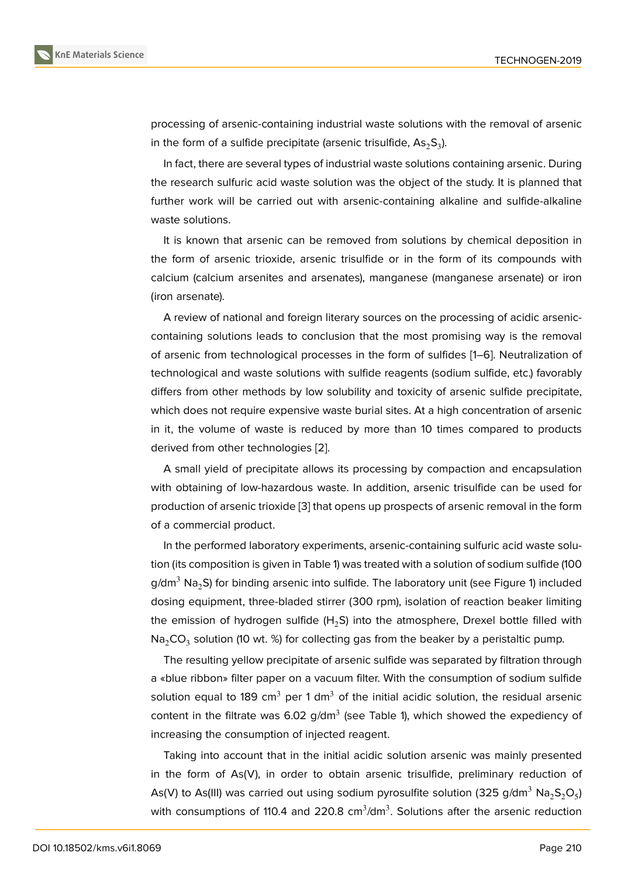processing of arsenic-containing industrial waste solutions with the removal of arsenic in the form of a sulfide precipitate (arsenic trisulfide,  $\mathsf{As}_2\mathsf{S}_3$ ).

In fact, there are several types of industrial waste solutions containing arsenic. During the research sulfuric acid waste solution was the object of the study. It is planned that further work will be carried out with arsenic-containing alkaline and sulfide-alkaline waste solutions.

It is known that arsenic can be removed from solutions by chemical deposition in the form of arsenic trioxide, arsenic trisulfide or in the form of its compounds with calcium (calcium arsenites and arsenates), manganese (manganese arsenate) or iron (iron arsenate).

A review of national and foreign literary sources on the processing of acidic arseniccontaining solutions leads to conclusion that the most promising way is the removal of arsenic from technological processes in the form of sulfides [1–6]. Neutralization of technological and waste solutions with sulfide reagents (sodium sulfide, etc.) favorably differs from other methods by low solubility and toxicity of arsenic sulfide precipitate, which does not require expensive waste burial sites. At a high c[on](#page-4-0)[ce](#page-4-1)ntration of arsenic in it, the volume of waste is reduced by more than 10 times compared to products derived from other technologies [2].

A small yield of precipitate allows its processing by compaction and encapsulation with obtaining of low-hazardous waste. In addition, arsenic trisulfide can be used for production of arsenic trioxide [3] t[ha](#page-4-2)t opens up prospects of arsenic removal in the form of a commercial product.

In the performed laboratory experiments, arsenic-containing sulfuric acid waste solution (its composition is given in [T](#page-4-3)able 1) was treated with a solution of sodium sulfide (100  $g/dm^3$  Na<sub>2</sub>S) for binding arsenic into sulfide. The laboratory unit (see Figure 1) included dosing equipment, three-bladed stirrer (300 rpm), isolation of reaction beaker limiting the emission of hydrogen sulfide  $(H_2S)$  into the atmosphere, Drexel bottle filled with Na $_2$ CO $_3$  solution (10 wt. %) for [c](#page-2-0)ollecting gas from the beaker by a peristaltic pump.

The resulting yellow precipitate of arsenic sulfide was separated by filtration through a «blue ribbon» filter paper on a vacuum filter. With the consumption of sodium sulfide solution equal to 189 cm<sup>3</sup> per 1 dm<sup>3</sup> of the initial acidic solution, the residual arsenic content in the filtrate was 6.02 g/dm<sup>3</sup> (see Table 1), which showed the expediency of increasing the consumption of injected reagent.

Taking into account that in the initial acidic solution arsenic was mainly presented in the form of As(V), in order to obtain arsenic trisulfide, preliminary reduction of As(V) to As(III) was carried out using sodium pyrosulfite solution (325 g/dm $^3$  Na $_2$ S $_2$ O $_5$ ) with consumptions of 110.4 and 220.8  $\text{cm}^3/\text{dm}^3$ . Solutions after the arsenic reduction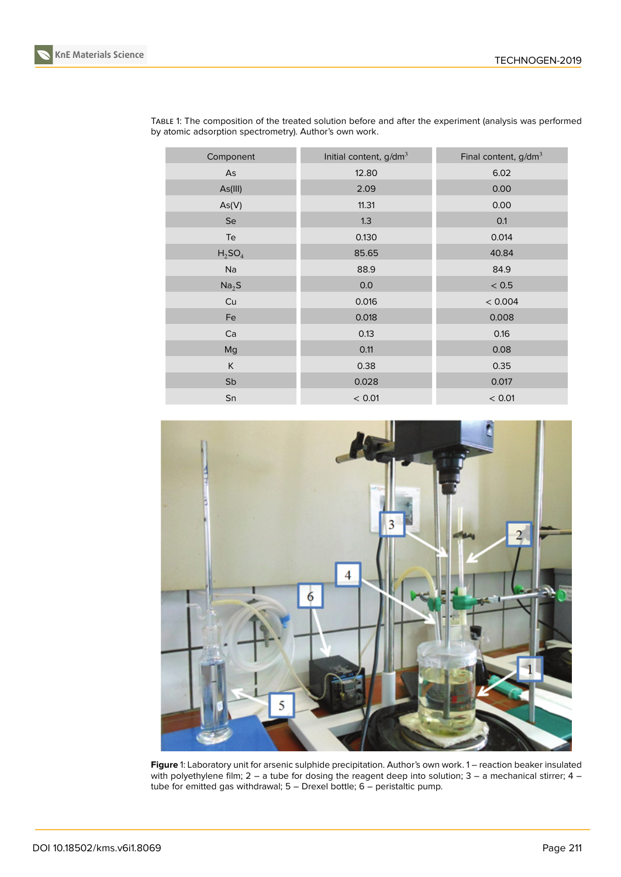

| KnE Materials Science |
|-----------------------|
|-----------------------|

| Initial content, g/dm <sup>3</sup> | Final content, $g/dm^3$ |
|------------------------------------|-------------------------|
| 12.80                              | 6.02                    |
| 2.09                               | 0.00                    |
| 11.31                              | 0.00                    |
| 1.3                                | 0.1                     |
| 0.130                              | 0.014                   |
| 85.65                              | 40.84                   |
| 88.9                               | 84.9                    |
| 0.0                                | < 0.5                   |
| 0.016                              | < 0.004                 |
| 0.018                              | 0.008                   |
| 0.13                               | 0.16                    |
| 0.11                               | 0.08                    |
| 0.38                               | 0.35                    |
| 0.028                              | 0.017                   |
| < 0.01                             | < 0.01                  |
|                                    |                         |

TABLE 1: The composition of the treated solution before and after the experiment (analysis was performed by atomic adsorption spectrometry). Author's own work.

<span id="page-2-0"></span>

**Figure** 1: Laboratory unit for arsenic sulphide precipitation. Author's own work. 1 – reaction beaker insulated with polyethylene film; 2 – a tube for dosing the reagent deep into solution; 3 – a mechanical stirrer; 4 – tube for emitted gas withdrawal; 5 – Drexel bottle; 6 – peristaltic pump.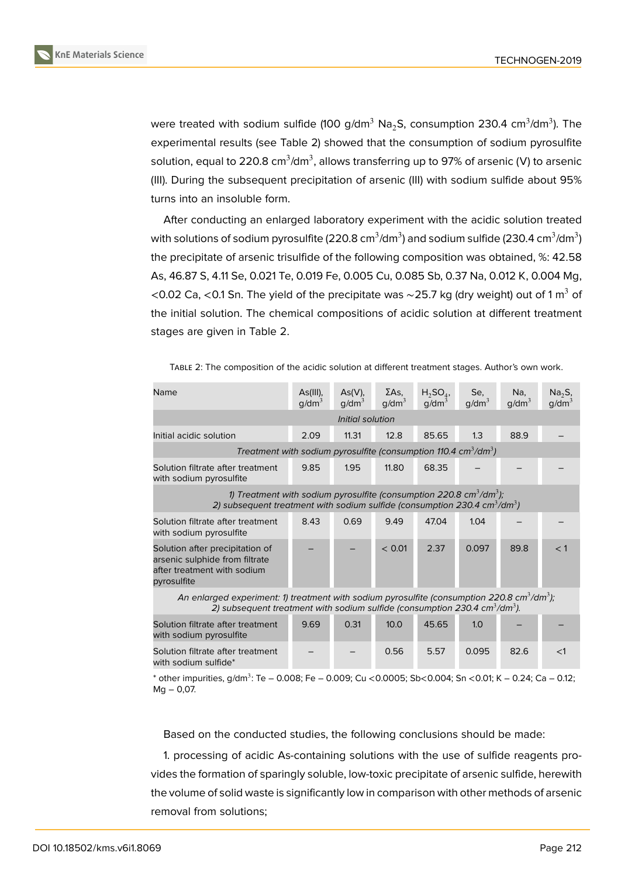

were treated with sodium sulfide (100 g/dm $^3$  Na $_2$ S, consumption 230.4 cm $^3$ /dm $^3$ ). The experimental results (see Table 2) showed that the consumption of sodium pyrosulfite solution, equal to 220.8 cm $^3$ /dm $^3$ , allows transferring up to 97% of arsenic (V) to arsenic (III). During the subsequent precipitation of arsenic (III) with sodium sulfide about 95% turns into an insoluble form.

After conducting an enlarged laboratory experiment with the acidic solution treated with solutions of sodium pyrosulfite (220.8 cm $^3$ /dm $^3$ ) and sodium sulfide (230.4 cm $^3$ /dm $^3$ ) the precipitate of arsenic trisulfide of the following composition was obtained, %: 42.58 As, 46.87 S, 4.11 Se, 0.021 Te, 0.019 Fe, 0.005 Cu, 0.085 Sb, 0.37 Na, 0.012 K, 0.004 Mg, <0.02 Ca, <0.1 Sn. The yield of the precipitate was ~25.7 kg (dry weight) out of 1 m<sup>3</sup> of the initial solution. The chemical compositions of acidic solution at different treatment stages are given in Table 2.

TABLE 2: The composition of the acidic solution at different treatment stages. Author's own work.

| Name                                                                                                                                                                                                      | As(III),<br>q/dm <sup>3</sup> | As(V),<br>q/dm <sup>3</sup> | $\Sigma$ As,<br>q/dm <sup>3</sup> | $H_2SO_4$<br>q/dm <sup>3</sup> | Se,<br>q/dm <sup>3</sup> | Na,<br>g/dm <sup>3</sup> | $Na2S$ ,<br>g/dm <sup>3</sup> |  |
|-----------------------------------------------------------------------------------------------------------------------------------------------------------------------------------------------------------|-------------------------------|-----------------------------|-----------------------------------|--------------------------------|--------------------------|--------------------------|-------------------------------|--|
| Initial solution                                                                                                                                                                                          |                               |                             |                                   |                                |                          |                          |                               |  |
| Initial acidic solution                                                                                                                                                                                   | 2.09                          | 11.31                       | 12.8                              | 85.65                          | 1.3                      | 88.9                     |                               |  |
| Treatment with sodium pyrosulfite (consumption 110.4 $\text{cm}^3/\text{dm}^3$ )                                                                                                                          |                               |                             |                                   |                                |                          |                          |                               |  |
| Solution filtrate after treatment<br>with sodium pyrosulfite                                                                                                                                              | 9.85                          | 1.95                        | 11.80                             | 68.35                          |                          |                          |                               |  |
| 1) Treatment with sodium pyrosulfite (consumption 220.8 $cm^3$ /dm <sup>3</sup> );<br>2) subsequent treatment with sodium sulfide (consumption 230.4 $cm^3$ /dm <sup>3</sup> )                            |                               |                             |                                   |                                |                          |                          |                               |  |
| Solution filtrate after treatment<br>with sodium pyrosulfite                                                                                                                                              | 8.43                          | 0.69                        | 9.49                              | 47.04                          | 1.04                     |                          |                               |  |
| Solution after precipitation of<br>arsenic sulphide from filtrate<br>after treatment with sodium<br>pyrosulfite                                                                                           |                               |                             | < 0.01                            | 2.37                           | 0.097                    | 89.8                     | $<$ 1                         |  |
| An enlarged experiment: 1) treatment with sodium pyrosulfite (consumption 220.8 $\text{cm}^3/\text{dm}^3$ );<br>2) subsequent treatment with sodium sulfide (consumption 230.4 $cm^3$ /dm <sup>3</sup> ). |                               |                             |                                   |                                |                          |                          |                               |  |

| Solution filtrate after treatment<br>with sodium pyrosulfite | 9.69 | 0.31 | 10.0 | 45.65 | 1.0   |      |  |
|--------------------------------------------------------------|------|------|------|-------|-------|------|--|
| Solution filtrate after treatment<br>with sodium sulfide*    |      |      | 0.56 | 5.57  | 0.095 | 82.6 |  |

 $^*$  other impurities, g/dm $^3$ : Te – 0.008; Fe – 0.009; Cu <0.0005; Sb<0.004; Sn <0.01; K – 0.24; Ca – 0.12; Mg – 0,07.

Based on the conducted studies, the following conclusions should be made:

1. processing of acidic As-containing solutions with the use of sulfide reagents provides the formation of sparingly soluble, low-toxic precipitate of arsenic sulfide, herewith the volume of solid waste is significantly low in comparison with other methods of arsenic removal from solutions;